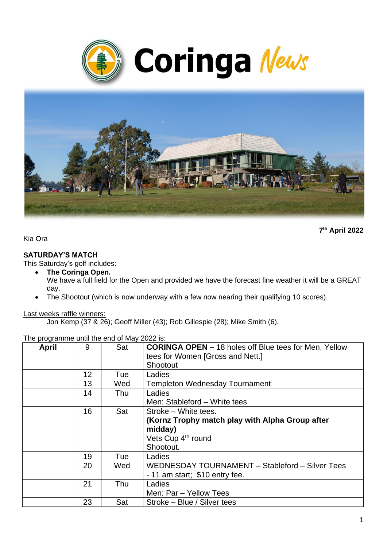



**7 th April 2022**

Kia Ora

### **SATURDAY'S MATCH**

This Saturday's golf includes:

- **The Coringa Open.** We have a full field for the Open and provided we have the forecast fine weather it will be a GREAT day.
- The Shootout (which is now underway with a few now nearing their qualifying 10 scores).

### Last weeks raffle winners:

Jon Kemp (37 & 26); Geoff Miller (43); Rob Gillespie (28); Mike Smith (6).

| <b>April</b> | 9  | Sat | <b>CORINGA OPEN - 18 holes off Blue tees for Men, Yellow</b> |  |
|--------------|----|-----|--------------------------------------------------------------|--|
|              |    |     | tees for Women [Gross and Nett.]                             |  |
|              |    |     | Shootout                                                     |  |
|              | 12 | Tue | Ladies                                                       |  |
|              | 13 | Wed | <b>Templeton Wednesday Tournament</b>                        |  |
|              | 14 | Thu | Ladies                                                       |  |
|              |    |     | Men: Stableford - White tees                                 |  |
|              | 16 | Sat | Stroke - White tees.                                         |  |
|              |    |     | (Kornz Trophy match play with Alpha Group after              |  |
|              |    |     | midday)                                                      |  |
|              |    |     | Vets Cup 4 <sup>th</sup> round                               |  |
|              |    |     | Shootout.                                                    |  |
|              | 19 | Tue | Ladies                                                       |  |
|              | 20 | Wed | WEDNESDAY TOURNAMENT - Stableford - Silver Tees              |  |
|              |    |     | - 11 am start; \$10 entry fee.                               |  |
|              | 21 | Thu | Ladies                                                       |  |
|              |    |     | Men: Par - Yellow Tees                                       |  |
|              | 23 | Sat | Stroke – Blue / Silver tees                                  |  |

The programme until the end of May 2022 is: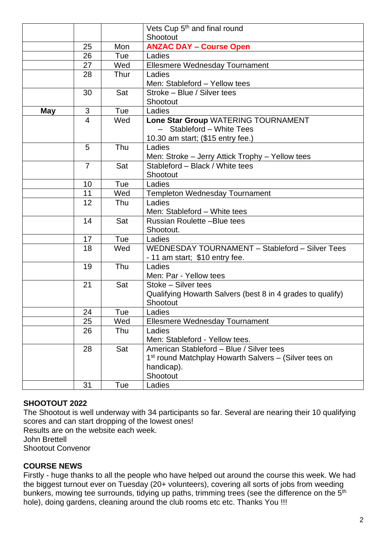|            |                |      | Vets Cup 5 <sup>th</sup> and final round                          |
|------------|----------------|------|-------------------------------------------------------------------|
|            |                |      | Shootout                                                          |
|            | 25             | Mon  | <b>ANZAC DAY - Course Open</b>                                    |
|            | 26             | Tue  | Ladies                                                            |
|            | 27             | Wed  | Ellesmere Wednesday Tournament                                    |
|            | 28             | Thur | Ladies                                                            |
|            |                |      | Men: Stableford - Yellow tees                                     |
|            | 30             | Sat  | Stroke - Blue / Silver tees                                       |
|            |                |      | Shootout                                                          |
| <b>May</b> | 3              | Tue  | Ladies                                                            |
|            | 4              | Wed  | Lone Star Group WATERING TOURNAMENT                               |
|            |                |      | - Stableford - White Tees                                         |
|            |                |      | 10.30 am start; (\$15 entry fee.)                                 |
|            | 5              | Thu  | Ladies                                                            |
|            |                |      | Men: Stroke - Jerry Attick Trophy - Yellow tees                   |
|            | $\overline{7}$ | Sat  | Stableford - Black / White tees                                   |
|            |                |      | Shootout                                                          |
|            | 10             | Tue  | Ladies                                                            |
|            | 11             | Wed  | <b>Templeton Wednesday Tournament</b>                             |
|            | 12             | Thu  | Ladies                                                            |
|            |                |      | Men: Stableford - White tees                                      |
|            | 14             | Sat  | Russian Roulette -Blue tees                                       |
|            |                |      | Shootout.                                                         |
|            | 17             | Tue  | Ladies                                                            |
|            | 18             | Wed  | WEDNESDAY TOURNAMENT - Stableford - Silver Tees                   |
|            |                |      | - 11 am start; \$10 entry fee.                                    |
|            | 19             | Thu  | Ladies                                                            |
|            |                |      | Men: Par - Yellow tees                                            |
|            | 21             | Sat  | Stoke - Silver tees                                               |
|            |                |      | Qualifying Howarth Salvers (best 8 in 4 grades to qualify)        |
|            |                |      | Shootout                                                          |
|            | 24             | Tue  | Ladies                                                            |
|            | 25             | Wed  | Ellesmere Wednesday Tournament                                    |
|            | 26             | Thu  | Ladies                                                            |
|            |                |      | Men: Stableford - Yellow tees.                                    |
|            | 28             | Sat  | American Stableford - Blue / Silver tees                          |
|            |                |      | 1 <sup>st</sup> round Matchplay Howarth Salvers – (Silver tees on |
|            |                |      | handicap).                                                        |
|            |                |      | Shootout                                                          |
|            | 31             | Tue  | Ladies                                                            |

## **SHOOTOUT 2022**

The Shootout is well underway with 34 participants so far. Several are nearing their 10 qualifying scores and can start dropping of the lowest ones!

Results are on the website each week.

John Brettell

Shootout Convenor

## **COURSE NEWS**

Firstly - huge thanks to all the people who have helped out around the course this week. We had the biggest turnout ever on Tuesday (20+ volunteers), covering all sorts of jobs from weeding bunkers, mowing tee surrounds, tidying up paths, trimming trees (see the difference on the 5<sup>th</sup> hole), doing gardens, cleaning around the club rooms etc etc. Thanks You !!!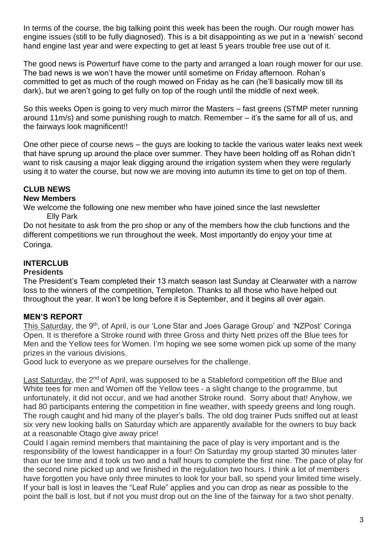In terms of the course, the big talking point this week has been the rough. Our rough mower has engine issues (still to be fully diagnosed). This is a bit disappointing as we put in a 'newish' second hand engine last year and were expecting to get at least 5 years trouble free use out of it.

The good news is Powerturf have come to the party and arranged a loan rough mower for our use. The bad news is we won't have the mower until sometime on Friday afternoon. Rohan's committed to get as much of the rough mowed on Friday as he can (he'll basically mow till its dark), but we aren't going to get fully on top of the rough until the middle of next week.

So this weeks Open is going to very much mirror the Masters – fast greens (STMP meter running around 11m/s) and some punishing rough to match. Remember – it's the same for all of us, and the fairways look magnificent!!

One other piece of course news – the guys are looking to tackle the various water leaks next week that have sprung up around the place over summer. They have been holding off as Rohan didn't want to risk causing a major leak digging around the irrigation system when they were regularly using it to water the course, but now we are moving into autumn its time to get on top of them.

# **CLUB NEWS**

### **New Members**

We welcome the following one new member who have joined since the last newsletter Elly Park

Do not hesitate to ask from the pro shop or any of the members how the club functions and the different competitions we run throughout the week. Most importantly do enjoy your time at Coringa.

# **INTERCLUB**

### **Presidents**

The President's Team completed their 13 match season last Sunday at Clearwater with a narrow loss to the winners of the competition, Templeton. Thanks to all those who have helped out throughout the year. It won't be long before it is September, and it begins all over again.

## **MEN'S REPORT**

This Saturday, the 9<sup>th</sup>, of April, is our 'Lone Star and Joes Garage Group' and 'NZPost' Coringa Open. It is therefore a Stroke round with three Gross and thirty Nett prizes off the Blue tees for Men and the Yellow tees for Women. I'm hoping we see some women pick up some of the many prizes in the various divisions.

Good luck to everyone as we prepare ourselves for the challenge.

Last Saturday, the 2<sup>nd</sup> of April, was supposed to be a Stableford competition off the Blue and White tees for men and Women off the Yellow tees - a slight change to the programme, but unfortunately, it did not occur, and we had another Stroke round. Sorry about that! Anyhow, we had 80 participants entering the competition in fine weather, with speedy greens and long rough. The rough caught and hid many of the player's balls. The old dog trainer Puds sniffed out at least six very new looking balls on Saturday which are apparently available for the owners to buy back at a reasonable Otago give away price!

Could I again remind members that maintaining the pace of play is very important and is the responsibility of the lowest handicapper in a four! On Saturday my group started 30 minutes later than our tee time and it took us two and a half hours to complete the first nine. The pace of play for the second nine picked up and we finished in the regulation two hours. I think a lot of members have forgotten you have only three minutes to look for your ball, so spend your limited time wisely. If your ball is lost in leaves the "Leaf Rule" applies and you can drop as near as possible to the point the ball is lost, but if not you must drop out on the line of the fairway for a two shot penalty.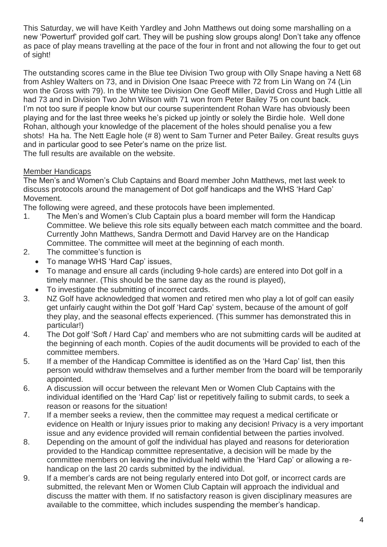This Saturday, we will have Keith Yardley and John Matthews out doing some marshalling on a new 'Powerturf' provided golf cart. They will be pushing slow groups along! Don't take any offence as pace of play means travelling at the pace of the four in front and not allowing the four to get out of sight!

The outstanding scores came in the Blue tee Division Two group with Olly Snape having a Nett 68 from Ashley Walters on 73, and in Division One Isaac Preece with 72 from Lin Wang on 74 (Lin won the Gross with 79). In the White tee Division One Geoff Miller, David Cross and Hugh Little all had 73 and in Division Two John Wilson with 71 won from Peter Bailey 75 on count back. I'm not too sure if people know but our course superintendent Rohan Ware has obviously been playing and for the last three weeks he's picked up jointly or solely the Birdie hole. Well done Rohan, although your knowledge of the placement of the holes should penalise you a few shots! Ha ha. The Nett Eagle hole (# 8) went to Sam Turner and Peter Bailey. Great results guys and in particular good to see Peter's name on the prize list. The full results are available on the website.

Member Handicaps

The Men's and Women's Club Captains and Board member John Matthews, met last week to discuss protocols around the management of Dot golf handicaps and the WHS 'Hard Cap' Movement.

The following were agreed, and these protocols have been implemented.

- 1. The Men's and Women's Club Captain plus a board member will form the Handicap Committee. We believe this role sits equally between each match committee and the board. Currently John Matthews, Sandra Dermott and David Harvey are on the Handicap Committee. The committee will meet at the beginning of each month.
- 2. The committee's function is
	- To manage WHS 'Hard Cap' issues,
	- To manage and ensure all cards (including 9-hole cards) are entered into Dot golf in a timely manner. (This should be the same day as the round is played),
	- To investigate the submitting of incorrect cards.
- 3. NZ Golf have acknowledged that women and retired men who play a lot of golf can easily get unfairly caught within the Dot golf 'Hard Cap' system, because of the amount of golf they play, and the seasonal effects experienced. (This summer has demonstrated this in particular!)
- 4. The Dot golf 'Soft / Hard Cap' and members who are not submitting cards will be audited at the beginning of each month. Copies of the audit documents will be provided to each of the committee members.
- 5. If a member of the Handicap Committee is identified as on the 'Hard Cap' list, then this person would withdraw themselves and a further member from the board will be temporarily appointed.
- 6. A discussion will occur between the relevant Men or Women Club Captains with the individual identified on the 'Hard Cap' list or repetitively failing to submit cards, to seek a reason or reasons for the situation!
- 7. If a member seeks a review, then the committee may request a medical certificate or evidence on Health or Injury issues prior to making any decision! Privacy is a very important issue and any evidence provided will remain confidential between the parties involved.
- 8. Depending on the amount of golf the individual has played and reasons for deterioration provided to the Handicap committee representative, a decision will be made by the committee members on leaving the individual held within the 'Hard Cap' or allowing a rehandicap on the last 20 cards submitted by the individual.
- 9. If a member's cards are not being regularly entered into Dot golf, or incorrect cards are submitted, the relevant Men or Women Club Captain will approach the individual and discuss the matter with them. If no satisfactory reason is given disciplinary measures are available to the committee, which includes suspending the member's handicap.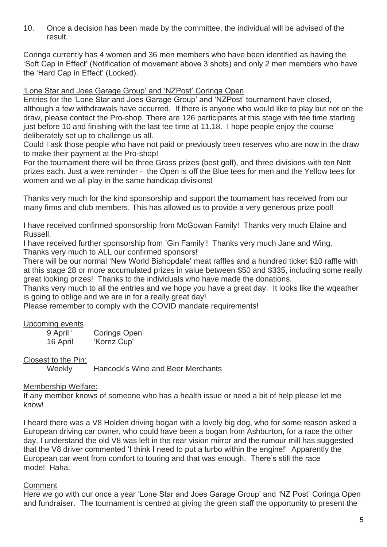10. Once a decision has been made by the committee, the individual will be advised of the result.

Coringa currently has 4 women and 36 men members who have been identified as having the 'Soft Cap in Effect' (Notification of movement above 3 shots) and only 2 men members who have the 'Hard Cap in Effect' (Locked).

'Lone Star and Joes Garage Group' and 'NZPost' Coringa Open

Entries for the 'Lone Star and Joes Garage Group' and 'NZPost' tournament have closed, although a few withdrawals have occurred. If there is anyone who would like to play but not on the draw, please contact the Pro-shop. There are 126 participants at this stage with tee time starting just before 10 and finishing with the last tee time at 11.18. I hope people enjoy the course deliberately set up to challenge us all.

Could I ask those people who have not paid or previously been reserves who are now in the draw to make their payment at the Pro-shop!

For the tournament there will be three Gross prizes (best golf), and three divisions with ten Nett prizes each. Just a wee reminder - the Open is off the Blue tees for men and the Yellow tees for women and we all play in the same handicap divisions!

Thanks very much for the kind sponsorship and support the tournament has received from our many firms and club members. This has allowed us to provide a very generous prize pool!

I have received confirmed sponsorship from McGowan Family! Thanks very much Elaine and Russell.

I have received further sponsorship from 'Gin Family'! Thanks very much Jane and Wing. Thanks very much to ALL our confirmed sponsors!

There will be our normal 'New World Bishopdale' meat raffles and a hundred ticket \$10 raffle with at this stage 28 or more accumulated prizes in value between \$50 and \$335, including some really great looking prizes! Thanks to the individuals who have made the donations.

Thanks very much to all the entries and we hope you have a great day. It looks like the wqeather is going to oblige and we are in for a really great day!

Please remember to comply with the COVID mandate requirements!

### Upcoming events

| 9 April ' | Coringa Open' |
|-----------|---------------|
| 16 April  | 'Kornz Cup'   |

### Closest to the Pin:

Weekly Hancock's Wine and Beer Merchants

### Membership Welfare:

If any member knows of someone who has a health issue or need a bit of help please let me know!

I heard there was a V8 Holden driving bogan with a lovely big dog, who for some reason asked a European driving car owner, who could have been a bogan from Ashburton, for a race the other day. I understand the old V8 was left in the rear vision mirror and the rumour mill has suggested that the V8 driver commented 'I think I need to put a turbo within the engine!' Apparently the European car went from comfort to touring and that was enough. There's still the race mode! Haha.

### **Comment**

Here we go with our once a year 'Lone Star and Joes Garage Group' and 'NZ Post' Coringa Open and fundraiser. The tournament is centred at giving the green staff the opportunity to present the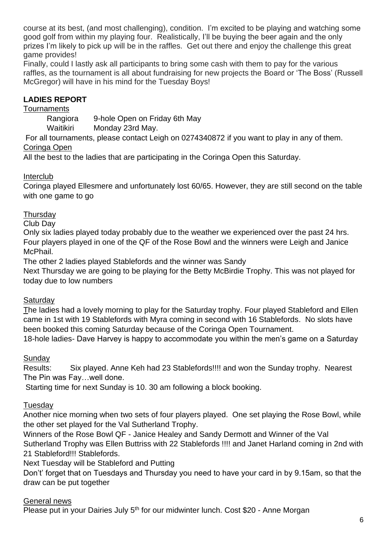course at its best, (and most challenging), condition. I'm excited to be playing and watching some good golf from within my playing four. Realistically, I'll be buying the beer again and the only prizes I'm likely to pick up will be in the raffles. Get out there and enjoy the challenge this great game provides!

Finally, could I lastly ask all participants to bring some cash with them to pay for the various raffles, as the tournament is all about fundraising for new projects the Board or 'The Boss' (Russell McGregor) will have in his mind for the Tuesday Boys!

# **LADIES REPORT**

## Tournaments

Rangiora 9-hole Open on Friday 6th May

Waitikiri Monday 23rd May.

For all tournaments, please contact Leigh on 0274340872 if you want to play in any of them. Coringa Open

All the best to the ladies that are participating in the Coringa Open this Saturday.

## Interclub

Coringa played Ellesmere and unfortunately lost 60/65. However, they are still second on the table with one game to go

## **Thursday**

Club Day

Only six ladies played today probably due to the weather we experienced over the past 24 hrs. Four players played in one of the QF of the Rose Bowl and the winners were Leigh and Janice McPhail.

The other 2 ladies played Stablefords and the winner was Sandy

Next Thursday we are going to be playing for the Betty McBirdie Trophy. This was not played for today due to low numbers

## **Saturday**

The ladies had a lovely morning to play for the Saturday trophy. Four played Stableford and Ellen came in 1st with 19 Stablefords with Myra coming in second with 16 Stablefords. No slots have been booked this coming Saturday because of the Coringa Open Tournament.

18-hole ladies- Dave Harvey is happy to accommodate you within the men's game on a Saturday

# **Sunday**

Results: Six played. Anne Keh had 23 Stablefords!!!! and won the Sunday trophy. Nearest The Pin was Fay…well done.

Starting time for next Sunday is 10. 30 am following a block booking.

# Tuesday

Another nice morning when two sets of four players played. One set playing the Rose Bowl, while the other set played for the Val Sutherland Trophy.

Winners of the Rose Bowl QF - Janice Healey and Sandy Dermott and Winner of the Val Sutherland Trophy was Ellen Buttriss with 22 Stablefords !!!! and Janet Harland coming in 2nd with 21 Stableford!!! Stablefords.

Next Tuesday will be Stableford and Putting

Don't' forget that on Tuesdays and Thursday you need to have your card in by 9.15am, so that the draw can be put together

## General news

Please put in your Dairies July 5<sup>th</sup> for our midwinter lunch. Cost \$20 - Anne Morgan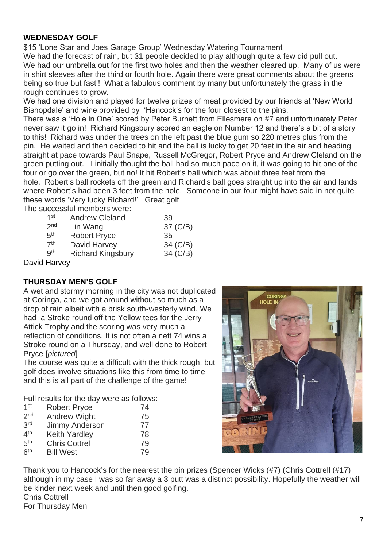# **WEDNESDAY GOLF**

\$15 'Lone Star and Joes Garage Group' Wednesday Watering Tournament

We had the forecast of rain, but 31 people decided to play although quite a few did pull out. We had our umbrella out for the first two holes and then the weather cleared up. Many of us were in shirt sleeves after the third or fourth hole. Again there were great comments about the greens being so true but fast'! What a fabulous comment by many but unfortunately the grass in the rough continues to grow.

We had one division and played for twelve prizes of meat provided by our friends at 'New World Bishopdale' and wine provided by 'Hancock's for the four closest to the pins.

There was a 'Hole in One' scored by Peter Burnett from Ellesmere on #7 and unfortunately Peter never saw it go in! Richard Kingsbury scored an eagle on Number 12 and there's a bit of a story to this! Richard was under the trees on the left past the blue gum so 220 metres plus from the pin. He waited and then decided to hit and the ball is lucky to get 20 feet in the air and heading straight at pace towards Paul Snape, Russell McGregor, Robert Pryce and Andrew Cleland on the green putting out. I initially thought the ball had so much pace on it, it was going to hit one of the four or go over the green, but no! It hit Robert's ball which was about three feet from the hole. Robert's ball rockets off the green and Richard's ball goes straight up into the air and lands where Robert's had been 3 feet from the hole. Someone in our four might have said in not quite these words 'Very lucky Richard!' Great golf The successful members were:

| $1$ st          | <b>Andrew Cleland</b>    | 39       |
|-----------------|--------------------------|----------|
| 2 <sub>nd</sub> | Lin Wang                 | 37 (C/B) |
| 5 <sup>th</sup> | <b>Robert Pryce</b>      | 35       |
| 7 <sup>th</sup> | David Harvey             | 34 (C/B) |
| <b>Qth</b>      | <b>Richard Kingsbury</b> | 34 (C/B) |
|                 |                          |          |

David Harvey

# **THURSDAY MEN'S GOLF**

A wet and stormy morning in the city was not duplicated at Coringa, and we got around without so much as a drop of rain albeit with a brisk south-westerly wind. We had a Stroke round off the Yellow tees for the Jerry Attick Trophy and the scoring was very much a reflection of conditions. It is not often a nett 74 wins a Stroke round on a Thursday, and well done to Robert Pryce [*pictured*]

The course was quite a difficult with the thick rough, but golf does involve situations like this from time to time and this is all part of the challenge of the game!

Full results for the day were as follows:

| 1 <sup>st</sup> | <b>Robert Pryce</b>  | 74 |
|-----------------|----------------------|----|
| 2 <sub>nd</sub> | <b>Andrew Wight</b>  | 75 |
| 3rd             | Jimmy Anderson       | 77 |
| 4 <sup>th</sup> | <b>Keith Yardley</b> | 78 |
| 5 <sup>th</sup> | <b>Chris Cottrel</b> | 79 |
| 6 <sup>th</sup> | <b>Bill West</b>     | 79 |



Thank you to Hancock's for the nearest the pin prizes (Spencer Wicks (#7) (Chris Cottrell (#17) although in my case I was so far away a 3 putt was a distinct possibility. Hopefully the weather will be kinder next week and until then good golfing. Chris Cottrell For Thursday Men